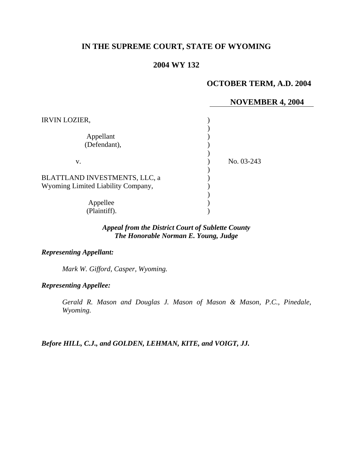## **IN THE SUPREME COURT, STATE OF WYOMING**

## **2004 WY 132**

# **OCTOBER TERM, A.D. 2004**

### **NOVEMBER 4, 2004**

| <b>IRVIN LOZIER,</b>                                                |            |
|---------------------------------------------------------------------|------------|
| Appellant<br>(Defendant),                                           |            |
| v.                                                                  | No. 03-243 |
| BLATTLAND INVESTMENTS, LLC, a<br>Wyoming Limited Liability Company, |            |
| Appellee<br>(Plaintiff).                                            |            |

## *Appeal from the District Court of Sublette County The Honorable Norman E. Young, Judge*

#### *Representing Appellant:*

*Mark W. Gifford, Casper, Wyoming.* 

*Representing Appellee:*

*Gerald R. Mason and Douglas J. Mason of Mason & Mason, P.C., Pinedale, Wyoming.* 

*Before HILL, C.J., and GOLDEN, LEHMAN, KITE, and VOIGT, JJ.*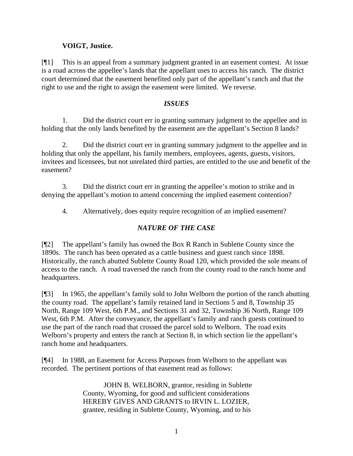## **VOIGT, Justice.**

[¶1] This is an appeal from a summary judgment granted in an easement contest. At issue is a road across the appellee's lands that the appellant uses to access his ranch. The district court determined that the easement benefited only part of the appellant's ranch and that the right to use and the right to assign the easement were limited. We reverse.

### *ISSUES*

1. Did the district court err in granting summary judgment to the appellee and in holding that the only lands benefited by the easement are the appellant's Section 8 lands?

2. Did the district court err in granting summary judgment to the appellee and in holding that only the appellant, his family members, employees, agents, guests, visitors, invitees and licensees, but not unrelated third parties, are entitled to the use and benefit of the easement?

3. Did the district court err in granting the appellee's motion to strike and in denying the appellant's motion to amend concerning the implied easement contention?

4. Alternatively, does equity require recognition of an implied easement?

# *NATURE OF THE CASE*

[¶2] The appellant's family has owned the Box R Ranch in Sublette County since the 1890s. The ranch has been operated as a cattle business and guest ranch since 1898. Historically, the ranch abutted Sublette County Road 120, which provided the sole means of access to the ranch. A road traversed the ranch from the county road to the ranch home and headquarters.

[¶3] In 1965, the appellant's family sold to John Welborn the portion of the ranch abutting the county road. The appellant's family retained land in Sections 5 and 8, Township 35 North, Range 109 West, 6th P.M., and Sections 31 and 32, Township 36 North, Range 109 West, 6th P.M. After the conveyance, the appellant's family and ranch guests continued to use the part of the ranch road that crossed the parcel sold to Welborn. The road exits Welborn's property and enters the ranch at Section 8, in which section lie the appellant's ranch home and headquarters.

[¶4] In 1988, an Easement for Access Purposes from Welborn to the appellant was recorded. The pertinent portions of that easement read as follows:

> JOHN B. WELBORN, grantor, residing in Sublette County, Wyoming, for good and sufficient considerations HEREBY GIVES AND GRANTS to IRVIN L. LOZIER, grantee, residing in Sublette County, Wyoming, and to his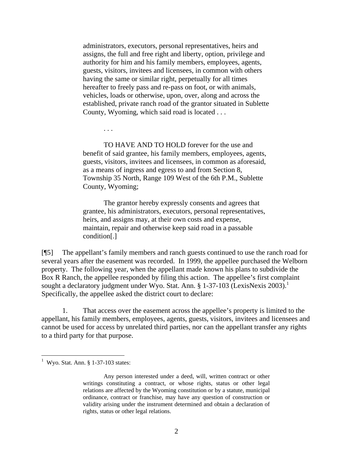administrators, executors, personal representatives, heirs and assigns, the full and free right and liberty, option, privilege and authority for him and his family members, employees, agents, guests, visitors, invitees and licensees, in common with others having the same or similar right, perpetually for all times hereafter to freely pass and re-pass on foot, or with animals, vehicles, loads or otherwise, upon, over, along and across the established, private ranch road of the grantor situated in Sublette County, Wyoming, which said road is located . . .

. . .

TO HAVE AND TO HOLD forever for the use and benefit of said grantee, his family members, employees, agents, guests, visitors, invitees and licensees, in common as aforesaid, as a means of ingress and egress to and from Section 8, Township 35 North, Range 109 West of the 6th P.M., Sublette County, Wyoming;

The grantor hereby expressly consents and agrees that grantee, his administrators, executors, personal representatives, heirs, and assigns may, at their own costs and expense, maintain, repair and otherwise keep said road in a passable condition[.]

[¶5] The appellant's family members and ranch guests continued to use the ranch road for several years after the easement was recorded. In 1999, the appellee purchased the Welborn property. The following year, when the appellant made known his plans to subdivide the Box R Ranch, the appellee responded by filing this action. The appellee's first complaint sought a declaratory judgment under Wyo. Stat. Ann. § 1-37-103 (LexisNexis 2003).<sup>1</sup> Specifically, the appellee asked the district court to declare:

1. That access over the easement across the appellee's property is limited to the appellant, his family members, employees, agents, guests, visitors, invitees and licensees and cannot be used for access by unrelated third parties, nor can the appellant transfer any rights to a third party for that purpose.

 $<sup>1</sup>$  Wyo. Stat. Ann. § 1-37-103 states:</sup>

Any person interested under a deed, will, written contract or other writings constituting a contract, or whose rights, status or other legal relations are affected by the Wyoming constitution or by a statute, municipal ordinance, contract or franchise, may have any question of construction or validity arising under the instrument determined and obtain a declaration of rights, status or other legal relations.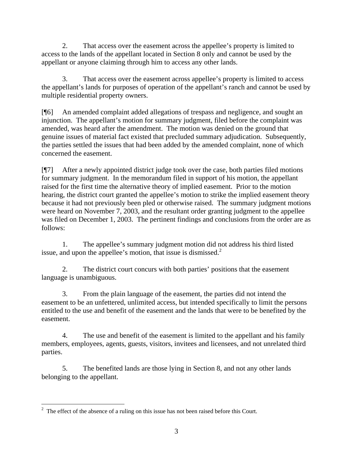2. That access over the easement across the appellee's property is limited to access to the lands of the appellant located in Section 8 only and cannot be used by the appellant or anyone claiming through him to access any other lands.

3. That access over the easement across appellee's property is limited to access the appellant's lands for purposes of operation of the appellant's ranch and cannot be used by multiple residential property owners.

[¶6] An amended complaint added allegations of trespass and negligence, and sought an injunction. The appellant's motion for summary judgment, filed before the complaint was amended, was heard after the amendment. The motion was denied on the ground that genuine issues of material fact existed that precluded summary adjudication. Subsequently, the parties settled the issues that had been added by the amended complaint, none of which concerned the easement.

[¶7] After a newly appointed district judge took over the case, both parties filed motions for summary judgment. In the memorandum filed in support of his motion, the appellant raised for the first time the alternative theory of implied easement. Prior to the motion hearing, the district court granted the appellee's motion to strike the implied easement theory because it had not previously been pled or otherwise raised. The summary judgment motions were heard on November 7, 2003, and the resultant order granting judgment to the appellee was filed on December 1, 2003. The pertinent findings and conclusions from the order are as follows:

1. The appellee's summary judgment motion did not address his third listed issue, and upon the appellee's motion, that issue is dismissed. $<sup>2</sup>$ </sup>

2. The district court concurs with both parties' positions that the easement language is unambiguous.

3. From the plain language of the easement, the parties did not intend the easement to be an unfettered, unlimited access, but intended specifically to limit the persons entitled to the use and benefit of the easement and the lands that were to be benefited by the easement.

4. The use and benefit of the easement is limited to the appellant and his family members, employees, agents, guests, visitors, invitees and licensees, and not unrelated third parties.

5. The benefited lands are those lying in Section 8, and not any other lands belonging to the appellant.

<sup>&</sup>lt;sup>2</sup> The effect of the absence of a ruling on this issue has not been raised before this Court.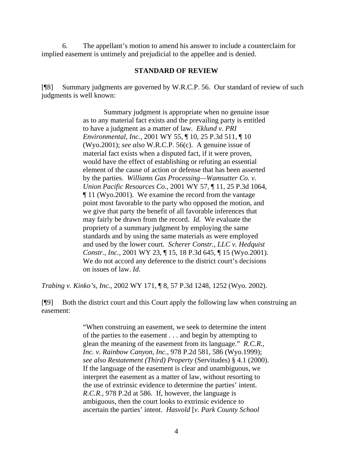6. The appellant's motion to amend his answer to include a counterclaim for implied easement is untimely and prejudicial to the appellee and is denied.

#### **STANDARD OF REVIEW**

[¶8] Summary judgments are governed by W.R.C.P. 56. Our standard of review of such judgments is well known:

> Summary judgment is appropriate when no genuine issue as to any material fact exists and the prevailing party is entitled to have a judgment as a matter of law. *Eklund v. PRI Environmental, Inc.,* 2001 WY 55, ¶ 10, 25 P.3d 511, ¶ 10 (Wyo.2001); *see also* W.R.C.P. 56(c). A genuine issue of material fact exists when a disputed fact, if it were proven, would have the effect of establishing or refuting an essential element of the cause of action or defense that has been asserted by the parties. *Williams Gas Processing—Wamsutter Co. v. Union Pacific Resources Co.,* 2001 WY 57, ¶ 11, 25 P.3d 1064, ¶ 11 (Wyo.2001). We examine the record from the vantage point most favorable to the party who opposed the motion, and we give that party the benefit of all favorable inferences that may fairly be drawn from the record. *Id.* We evaluate the propriety of a summary judgment by employing the same standards and by using the same materials as were employed and used by the lower court. *Scherer Constr., LLC v. Hedquist Constr., Inc.,* 2001 WY 23, ¶ 15, 18 P.3d 645, ¶ 15 (Wyo.2001). We do not accord any deference to the district court's decisions on issues of law. *Id.*

*Trabing v. Kinko's, Inc.,* 2002 WY 171, ¶ 8, 57 P.3d 1248, 1252 (Wyo. 2002).

[¶9] Both the district court and this Court apply the following law when construing an easement:

> "When construing an easement, we seek to determine the intent of the parties to the easement . . . and begin by attempting to glean the meaning of the easement from its language." *R.C.R., Inc. v. Rainbow Canyon, Inc.,* 978 P.2d 581, 586 (Wyo.1999); *see also Restatement (Third) Property* (Servitudes) § 4.1 (2000). If the language of the easement is clear and unambiguous, we interpret the easement as a matter of law, without resorting to the use of extrinsic evidence to determine the parties' intent. *R.C.R.*, 978 P.2d at 586. If, however, the language is ambiguous, then the court looks to extrinsic evidence to ascertain the parties' intent. *Hasvold* [*v. Park County School*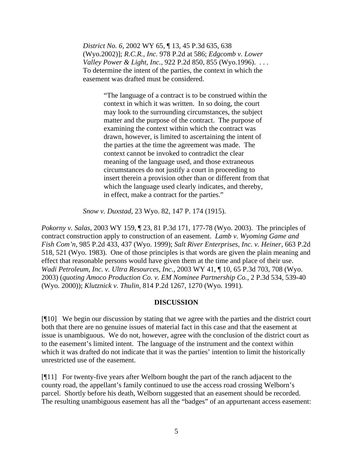*District No. 6,* 2002 WY 65, ¶ 13, 45 P.3d 635, 638 (Wyo.2002)]; *R.C.R., Inc.* 978 P.2d at 586; *Edgcomb v. Lower Valley Power & Light, Inc.,* 922 P.2d 850, 855 (Wyo.1996). . . . To determine the intent of the parties, the context in which the easement was drafted must be considered.

> "The language of a contract is to be construed within the context in which it was written. In so doing, the court may look to the surrounding circumstances, the subject matter and the purpose of the contract. The purpose of examining the context within which the contract was drawn, however, is limited to ascertaining the intent of the parties at the time the agreement was made. The context cannot be invoked to contradict the clear meaning of the language used, and those extraneous circumstances do not justify a court in proceeding to insert therein a provision other than or different from that which the language used clearly indicates, and thereby, in effect, make a contract for the parties."

*Snow v. Duxstad,* 23 Wyo. 82, 147 P. 174 (1915).

*Pokorny v. Salas,* 2003 WY 159, ¶ 23, 81 P.3d 171, 177-78 (Wyo. 2003). The principles of contract construction apply to construction of an easement. *Lamb v. Wyoming Game and Fish Com'n,* 985 P.2d 433, 437 (Wyo. 1999); *Salt River Enterprises, Inc. v. Heiner,* 663 P.2d 518, 521 (Wyo. 1983). One of those principles is that words are given the plain meaning and effect that reasonable persons would have given them at the time and place of their use. *Wadi Petroleum, Inc. v. Ultra Resources, Inc.,* 2003 WY 41, ¶ 10, 65 P.3d 703, 708 (Wyo. 2003) (*quoting Amoco Production Co. v. EM Nominee Partnership Co.*, 2 P.3d 534, 539-40 (Wyo. 2000)); *Klutznick v. Thulin,* 814 P.2d 1267, 1270 (Wyo. 1991).

#### **DISCUSSION**

[¶10] We begin our discussion by stating that we agree with the parties and the district court both that there are no genuine issues of material fact in this case and that the easement at issue is unambiguous. We do not, however, agree with the conclusion of the district court as to the easement's limited intent. The language of the instrument and the context within which it was drafted do not indicate that it was the parties' intention to limit the historically unrestricted use of the easement.

[¶11] For twenty-five years after Welborn bought the part of the ranch adjacent to the county road, the appellant's family continued to use the access road crossing Welborn's parcel. Shortly before his death, Welborn suggested that an easement should be recorded. The resulting unambiguous easement has all the "badges" of an appurtenant access easement: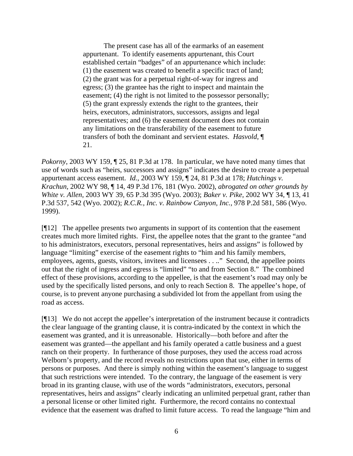The present case has all of the earmarks of an easement appurtenant. To identify easements appurtenant, this Court established certain "badges" of an appurtenance which include: (1) the easement was created to benefit a specific tract of land; (2) the grant was for a perpetual right-of-way for ingress and egress; (3) the grantee has the right to inspect and maintain the easement; (4) the right is not limited to the possessor personally; (5) the grant expressly extends the right to the grantees, their heirs, executors, administrators, successors, assigns and legal representatives; and (6) the easement document does not contain any limitations on the transferability of the easement to future transfers of both the dominant and servient estates. *Hasvold,* ¶ 21.

*Pokorny*, 2003 WY 159, 125, 81 P.3d at 178. In particular, we have noted many times that use of words such as "heirs, successors and assigns" indicates the desire to create a perpetual appurtenant access easement. *Id.*, 2003 WY 159, ¶ 24, 81 P.3d at 178; *Hutchings v. Krachun,* 2002 WY 98, ¶ 14, 49 P.3d 176, 181 (Wyo. 2002), *abrogated on other grounds by White v. Allen*, 2003 WY 39, 65 P.3d 395 (Wyo. 2003); *Baker v. Pike,* 2002 WY 34, ¶ 13, 41 P.3d 537, 542 (Wyo. 2002); *R.C.R., Inc. v. Rainbow Canyon, Inc.,* 978 P.2d 581, 586 (Wyo. 1999).

[¶12] The appellee presents two arguments in support of its contention that the easement creates much more limited rights. First, the appellee notes that the grant to the grantee "and to his administrators, executors, personal representatives, heirs and assigns" is followed by language "limiting" exercise of the easement rights to "him and his family members, employees, agents, guests, visitors, invitees and licensees . . .." Second, the appellee points out that the right of ingress and egress is "limited" "to and from Section 8." The combined effect of these provisions, according to the appellee, is that the easement's road may only be used by the specifically listed persons, and only to reach Section 8. The appellee's hope, of course, is to prevent anyone purchasing a subdivided lot from the appellant from using the road as access.

[¶13] We do not accept the appellee's interpretation of the instrument because it contradicts the clear language of the granting clause, it is contra-indicated by the context in which the easement was granted, and it is unreasonable. Historically—both before and after the easement was granted—the appellant and his family operated a cattle business and a guest ranch on their property. In furtherance of those purposes, they used the access road across Welborn's property, and the record reveals no restrictions upon that use, either in terms of persons or purposes. And there is simply nothing within the easement's language to suggest that such restrictions were intended. To the contrary, the language of the easement is very broad in its granting clause, with use of the words "administrators, executors, personal representatives, heirs and assigns" clearly indicating an unlimited perpetual grant, rather than a personal license or other limited right. Furthermore, the record contains no contextual evidence that the easement was drafted to limit future access. To read the language "him and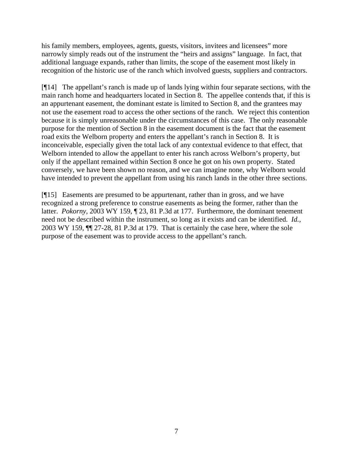his family members, employees, agents, guests, visitors, invitees and licensees" more narrowly simply reads out of the instrument the "heirs and assigns" language. In fact, that additional language expands, rather than limits, the scope of the easement most likely in recognition of the historic use of the ranch which involved guests, suppliers and contractors.

[¶14] The appellant's ranch is made up of lands lying within four separate sections, with the main ranch home and headquarters located in Section 8. The appellee contends that, if this is an appurtenant easement, the dominant estate is limited to Section 8, and the grantees may not use the easement road to access the other sections of the ranch. We reject this contention because it is simply unreasonable under the circumstances of this case. The only reasonable purpose for the mention of Section 8 in the easement document is the fact that the easement road exits the Welborn property and enters the appellant's ranch in Section 8. It is inconceivable, especially given the total lack of any contextual evidence to that effect, that Welborn intended to allow the appellant to enter his ranch across Welborn's property, but only if the appellant remained within Section 8 once he got on his own property. Stated conversely, we have been shown no reason, and we can imagine none, why Welborn would have intended to prevent the appellant from using his ranch lands in the other three sections.

[¶15] Easements are presumed to be appurtenant, rather than in gross, and we have recognized a strong preference to construe easements as being the former, rather than the latter. *Pokorny,* 2003 WY 159, ¶ 23, 81 P.3d at 177. Furthermore, the dominant tenement need not be described within the instrument, so long as it exists and can be identified. *Id.,*  2003 WY 159, ¶¶ 27-28, 81 P.3d at 179. That is certainly the case here, where the sole purpose of the easement was to provide access to the appellant's ranch.